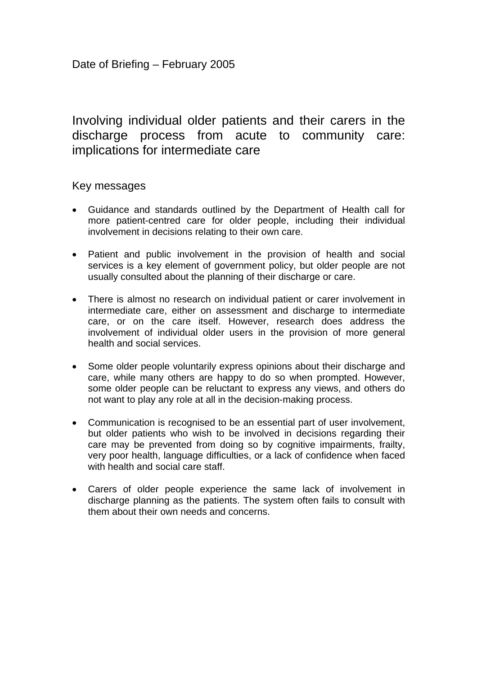# Involving individual older patients and their carers in the discharge process from acute to community care: implications for intermediate care

## Key messages

- Guidance and standards outlined by the Department of Health call for more patient-centred care for older people, including their individual involvement in decisions relating to their own care.
- Patient and public involvement in the provision of health and social services is a key element of government policy, but older people are not usually consulted about the planning of their discharge or care.
- There is almost no research on individual patient or carer involvement in intermediate care, either on assessment and discharge to intermediate care, or on the care itself. However, research does address the involvement of individual older users in the provision of more general health and social services.
- Some older people voluntarily express opinions about their discharge and care, while many others are happy to do so when prompted. However, some older people can be reluctant to express any views, and others do not want to play any role at all in the decision-making process.
- Communication is recognised to be an essential part of user involvement, but older patients who wish to be involved in decisions regarding their care may be prevented from doing so by cognitive impairments, frailty, very poor health, language difficulties, or a lack of confidence when faced with health and social care staff.
- Carers of older people experience the same lack of involvement in discharge planning as the patients. The system often fails to consult with them about their own needs and concerns.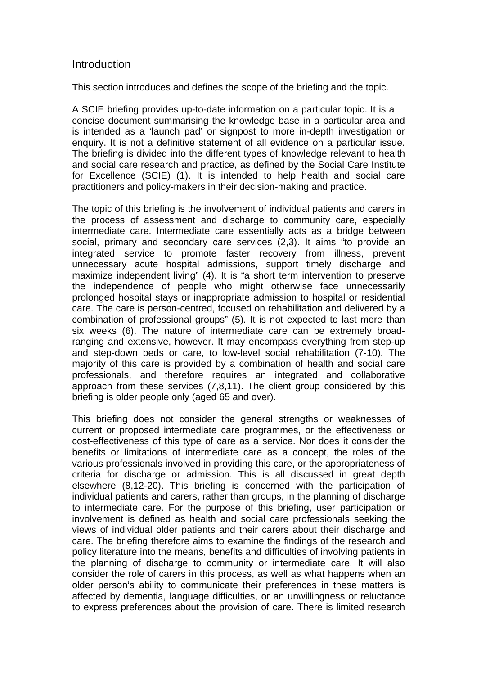## **Introduction**

This section introduces and defines the scope of the briefing and the topic.

A SCIE briefing provides up-to-date information on a particular topic. It is a concise document summarising the knowledge base in a particular area and is intended as a 'launch pad' or signpost to more in-depth investigation or enquiry. It is not a definitive statement of all evidence on a particular issue. The briefing is divided into the different types of knowledge relevant to health and social care research and practice, as defined by the Social Care Institute for Excellence (SCIE) (1). It is intended to help health and social care practitioners and policy-makers in their decision-making and practice.

The topic of this briefing is the involvement of individual patients and carers in the process of assessment and discharge to community care, especially intermediate care. Intermediate care essentially acts as a bridge between social, primary and secondary care services (2,3). It aims "to provide an integrated service to promote faster recovery from illness, prevent unnecessary acute hospital admissions, support timely discharge and maximize independent living" (4). It is "a short term intervention to preserve the independence of people who might otherwise face unnecessarily prolonged hospital stays or inappropriate admission to hospital or residential care. The care is person-centred, focused on rehabilitation and delivered by a combination of professional groups" (5). It is not expected to last more than six weeks (6). The nature of intermediate care can be extremely broadranging and extensive, however. It may encompass everything from step-up and step-down beds or care, to low-level social rehabilitation (7-10). The majority of this care is provided by a combination of health and social care professionals, and therefore requires an integrated and collaborative approach from these services (7,8,11). The client group considered by this briefing is older people only (aged 65 and over).

This briefing does not consider the general strengths or weaknesses of current or proposed intermediate care programmes, or the effectiveness or cost-effectiveness of this type of care as a service. Nor does it consider the benefits or limitations of intermediate care as a concept, the roles of the various professionals involved in providing this care, or the appropriateness of criteria for discharge or admission. This is all discussed in great depth elsewhere (8,12-20). This briefing is concerned with the participation of individual patients and carers, rather than groups, in the planning of discharge to intermediate care. For the purpose of this briefing, user participation or involvement is defined as health and social care professionals seeking the views of individual older patients and their carers about their discharge and care. The briefing therefore aims to examine the findings of the research and policy literature into the means, benefits and difficulties of involving patients in the planning of discharge to community or intermediate care. It will also consider the role of carers in this process, as well as what happens when an older person's ability to communicate their preferences in these matters is affected by dementia, language difficulties, or an unwillingness or reluctance to express preferences about the provision of care. There is limited research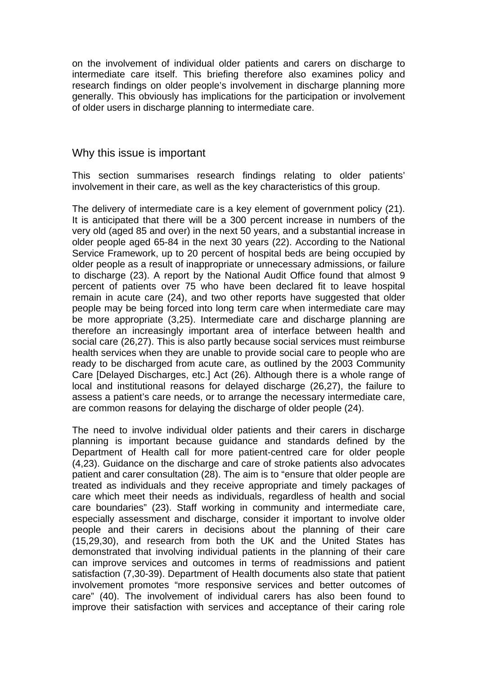on the involvement of individual older patients and carers on discharge to intermediate care itself. This briefing therefore also examines policy and research findings on older people's involvement in discharge planning more generally. This obviously has implications for the participation or involvement of older users in discharge planning to intermediate care.

### Why this issue is important

This section summarises research findings relating to older patients' involvement in their care, as well as the key characteristics of this group.

The delivery of intermediate care is a key element of government policy (21). It is anticipated that there will be a 300 percent increase in numbers of the very old (aged 85 and over) in the next 50 years, and a substantial increase in older people aged 65-84 in the next 30 years (22). According to the National Service Framework, up to 20 percent of hospital beds are being occupied by older people as a result of inappropriate or unnecessary admissions, or failure to discharge (23). A report by the National Audit Office found that almost 9 percent of patients over 75 who have been declared fit to leave hospital remain in acute care (24), and two other reports have suggested that older people may be being forced into long term care when intermediate care may be more appropriate (3,25). Intermediate care and discharge planning are therefore an increasingly important area of interface between health and social care (26,27). This is also partly because social services must reimburse health services when they are unable to provide social care to people who are ready to be discharged from acute care, as outlined by the 2003 Community Care [Delayed Discharges, etc.] Act (26). Although there is a whole range of local and institutional reasons for delayed discharge (26,27), the failure to assess a patient's care needs, or to arrange the necessary intermediate care, are common reasons for delaying the discharge of older people (24).

The need to involve individual older patients and their carers in discharge planning is important because guidance and standards defined by the Department of Health call for more patient-centred care for older people (4,23). Guidance on the discharge and care of stroke patients also advocates patient and carer consultation (28). The aim is to "ensure that older people are treated as individuals and they receive appropriate and timely packages of care which meet their needs as individuals, regardless of health and social care boundaries" (23). Staff working in community and intermediate care, especially assessment and discharge, consider it important to involve older people and their carers in decisions about the planning of their care (15,29,30), and research from both the UK and the United States has demonstrated that involving individual patients in the planning of their care can improve services and outcomes in terms of readmissions and patient satisfaction (7,30-39). Department of Health documents also state that patient involvement promotes "more responsive services and better outcomes of care" (40). The involvement of individual carers has also been found to improve their satisfaction with services and acceptance of their caring role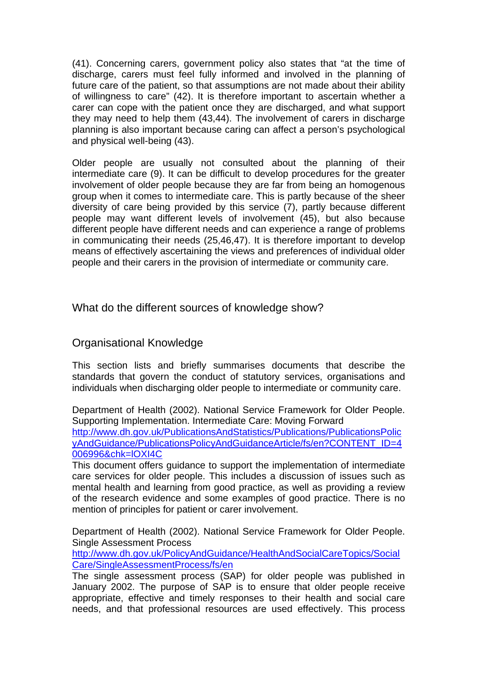(41). Concerning carers, government policy also states that "at the time of discharge, carers must feel fully informed and involved in the planning of future care of the patient, so that assumptions are not made about their ability of willingness to care" (42). It is therefore important to ascertain whether a carer can cope with the patient once they are discharged, and what support they may need to help them (43,44). The involvement of carers in discharge planning is also important because caring can affect a person's psychological and physical well-being (43).

Older people are usually not consulted about the planning of their intermediate care (9). It can be difficult to develop procedures for the greater involvement of older people because they are far from being an homogenous group when it comes to intermediate care. This is partly because of the sheer diversity of care being provided by this service (7), partly because different people may want different levels of involvement (45), but also because different people have different needs and can experience a range of problems in communicating their needs (25,46,47). It is therefore important to develop means of effectively ascertaining the views and preferences of individual older people and their carers in the provision of intermediate or community care.

What do the different sources of knowledge show?

## Organisational Knowledge

This section lists and briefly summarises documents that describe the standards that govern the conduct of statutory services, organisations and individuals when discharging older people to intermediate or community care.

Department of Health (2002). National Service Framework for Older People. Supporting Implementation. Intermediate Care: Moving Forward [http://www.dh.gov.uk/PublicationsAndStatistics/Publications/PublicationsPolic](http://www.dh.gov.uk/PublicationsAndStatistics/Publications/PublicationsPolicyAndGuidance/PublicationsPolicyAndGuidanceArticle/fs/en?CONTENT_ID=4006996&chk=lOXI4C) [yAndGuidance/PublicationsPolicyAndGuidanceArticle/fs/en?CONTENT\\_ID=4](http://www.dh.gov.uk/PublicationsAndStatistics/Publications/PublicationsPolicyAndGuidance/PublicationsPolicyAndGuidanceArticle/fs/en?CONTENT_ID=4006996&chk=lOXI4C) [006996&chk=lOXI4C](http://www.dh.gov.uk/PublicationsAndStatistics/Publications/PublicationsPolicyAndGuidance/PublicationsPolicyAndGuidanceArticle/fs/en?CONTENT_ID=4006996&chk=lOXI4C)

This document offers guidance to support the implementation of intermediate care services for older people. This includes a discussion of issues such as mental health and learning from good practice, as well as providing a review of the research evidence and some examples of good practice. There is no mention of principles for patient or carer involvement.

Department of Health (2002). National Service Framework for Older People. Single Assessment Process

[http://www.dh.gov.uk/PolicyAndGuidance/HealthAndSocialCareTopics/Social](http://www.dh.gov.uk/PolicyAndGuidance/HealthAndSocialCareTopics/SocialCare/SingleAssessmentProcess/fs/en) [Care/SingleAssessmentProcess/fs/en](http://www.dh.gov.uk/PolicyAndGuidance/HealthAndSocialCareTopics/SocialCare/SingleAssessmentProcess/fs/en)

The single assessment process (SAP) for older people was published in January 2002. The purpose of SAP is to ensure that older people receive appropriate, effective and timely responses to their health and social care needs, and that professional resources are used effectively. This process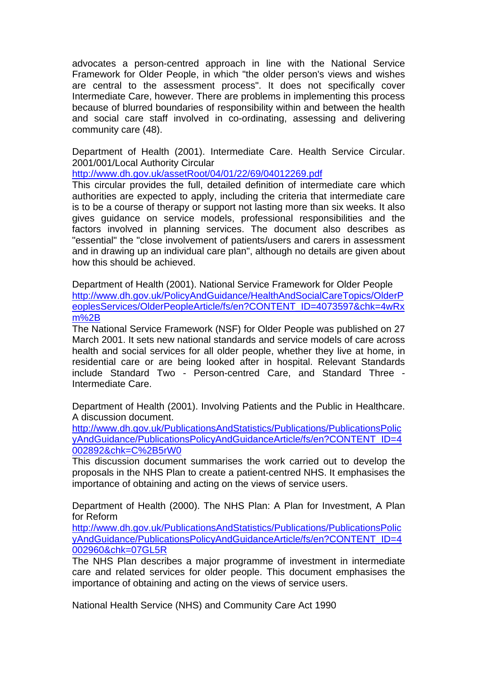advocates a person-centred approach in line with the National Service Framework for Older People, in which "the older person's views and wishes are central to the assessment process". It does not specifically cover Intermediate Care, however. There are problems in implementing this process because of blurred boundaries of responsibility within and between the health and social care staff involved in co-ordinating, assessing and delivering community care (48).

Department of Health (2001). Intermediate Care. Health Service Circular. 2001/001/Local Authority Circular

<http://www.dh.gov.uk/assetRoot/04/01/22/69/04012269.pdf>

This circular provides the full, detailed definition of intermediate care which authorities are expected to apply, including the criteria that intermediate care is to be a course of therapy or support not lasting more than six weeks. It also gives guidance on service models, professional responsibilities and the factors involved in planning services. The document also describes as "essential" the "close involvement of patients/users and carers in assessment and in drawing up an individual care plan", although no details are given about how this should be achieved.

Department of Health (2001). National Service Framework for Older People [http://www.dh.gov.uk/PolicyAndGuidance/HealthAndSocialCareTopics/OlderP](http://www.dh.gov.uk/PolicyAndGuidance/HealthAndSocialCareTopics/OlderPeoplesServices/OlderPeopleArticle/fs/en?CONTENT_ID=4073597&chk=4wRxm%2B) [eoplesServices/OlderPeopleArticle/fs/en?CONTENT\\_ID=4073597&chk=4wRx](http://www.dh.gov.uk/PolicyAndGuidance/HealthAndSocialCareTopics/OlderPeoplesServices/OlderPeopleArticle/fs/en?CONTENT_ID=4073597&chk=4wRxm%2B) [m%2B](http://www.dh.gov.uk/PolicyAndGuidance/HealthAndSocialCareTopics/OlderPeoplesServices/OlderPeopleArticle/fs/en?CONTENT_ID=4073597&chk=4wRxm%2B)

The National Service Framework (NSF) for Older People was published on 27 March 2001. It sets new national standards and service models of care across health and social services for all older people, whether they live at home, in residential care or are being looked after in hospital. Relevant Standards include Standard Two - Person-centred Care, and Standard Three - Intermediate Care.

Department of Health (2001). Involving Patients and the Public in Healthcare. A discussion document.

[http://www.dh.gov.uk/PublicationsAndStatistics/Publications/PublicationsPolic](http://www.dh.gov.uk/PublicationsAndStatistics/Publications/PublicationsPolicyAndGuidance/PublicationsPolicyAndGuidanceArticle/fs/en?CONTENT_ID=4002892&chk=C%2B5rW0) [yAndGuidance/PublicationsPolicyAndGuidanceArticle/fs/en?CONTENT\\_ID=4](http://www.dh.gov.uk/PublicationsAndStatistics/Publications/PublicationsPolicyAndGuidance/PublicationsPolicyAndGuidanceArticle/fs/en?CONTENT_ID=4002892&chk=C%2B5rW0) [002892&chk=C%2B5rW0](http://www.dh.gov.uk/PublicationsAndStatistics/Publications/PublicationsPolicyAndGuidance/PublicationsPolicyAndGuidanceArticle/fs/en?CONTENT_ID=4002892&chk=C%2B5rW0)

This discussion document summarises the work carried out to develop the proposals in the NHS Plan to create a patient-centred NHS. It emphasises the importance of obtaining and acting on the views of service users.

Department of Health (2000). The NHS Plan: A Plan for Investment, A Plan for Reform

[http://www.dh.gov.uk/PublicationsAndStatistics/Publications/PublicationsPolic](http://www.dh.gov.uk/PublicationsAndStatistics/Publications/PublicationsPolicyAndGuidance/PublicationsPolicyAndGuidanceArticle/fs/en?CONTENT_ID=4002960&chk=07GL5R) [yAndGuidance/PublicationsPolicyAndGuidanceArticle/fs/en?CONTENT\\_ID=4](http://www.dh.gov.uk/PublicationsAndStatistics/Publications/PublicationsPolicyAndGuidance/PublicationsPolicyAndGuidanceArticle/fs/en?CONTENT_ID=4002960&chk=07GL5R) [002960&chk=07GL5R](http://www.dh.gov.uk/PublicationsAndStatistics/Publications/PublicationsPolicyAndGuidance/PublicationsPolicyAndGuidanceArticle/fs/en?CONTENT_ID=4002960&chk=07GL5R)

The NHS Plan describes a major programme of investment in intermediate care and related services for older people. This document emphasises the importance of obtaining and acting on the views of service users.

National Health Service (NHS) and Community Care Act 1990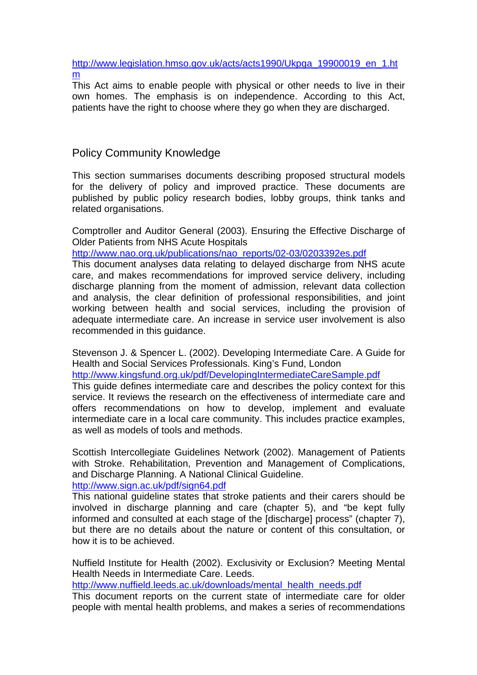[http://www.legislation.hmso.gov.uk/acts/acts1990/Ukpga\\_19900019\\_en\\_1.ht](http://www.legislation.hmso.gov.uk/acts/acts1990/Ukpga_19900019_en_1.htm) [m](http://www.legislation.hmso.gov.uk/acts/acts1990/Ukpga_19900019_en_1.htm)

This Act aims to enable people with physical or other needs to live in their own homes. The emphasis is on independence. According to this Act, patients have the right to choose where they go when they are discharged.

## Policy Community Knowledge

This section summarises documents describing proposed structural models for the delivery of policy and improved practice. These documents are published by public policy research bodies, lobby groups, think tanks and related organisations.

Comptroller and Auditor General (2003). Ensuring the Effective Discharge of Older Patients from NHS Acute Hospitals

[http://www.nao.org.uk/publications/nao\\_reports/02-03/0203392es.pdf](http://www.nao.org.uk/publications/nao_reports/02-03/0203392es.pdf)

This document analyses data relating to delayed discharge from NHS acute care, and makes recommendations for improved service delivery, including discharge planning from the moment of admission, relevant data collection and analysis, the clear definition of professional responsibilities, and joint working between health and social services, including the provision of adequate intermediate care. An increase in service user involvement is also recommended in this guidance.

Stevenson J. & Spencer L. (2002). Developing Intermediate Care. A Guide for Health and Social Services Professionals. King's Fund, London

<http://www.kingsfund.org.uk/pdf/DevelopingIntermediateCareSample.pdf>

This guide defines intermediate care and describes the policy context for this service. It reviews the research on the effectiveness of intermediate care and offers recommendations on how to develop, implement and evaluate intermediate care in a local care community. This includes practice examples, as well as models of tools and methods.

Scottish Intercollegiate Guidelines Network (2002). Management of Patients with Stroke. Rehabilitation, Prevention and Management of Complications, and Discharge Planning. A National Clinical Guideline. <http://www.sign.ac.uk/pdf/sign64.pdf>

This national guideline states that stroke patients and their carers should be involved in discharge planning and care (chapter 5), and "be kept fully informed and consulted at each stage of the [discharge] process" (chapter 7), but there are no details about the nature or content of this consultation, or how it is to be achieved.

Nuffield Institute for Health (2002). Exclusivity or Exclusion? Meeting Mental Health Needs in Intermediate Care. Leeds.

[http://www.nuffield.leeds.ac.uk/downloads/mental\\_health\\_needs.pdf](http://www.nuffield.leeds.ac.uk/downloads/mental_health_needs.pdf)

This document reports on the current state of intermediate care for older people with mental health problems, and makes a series of recommendations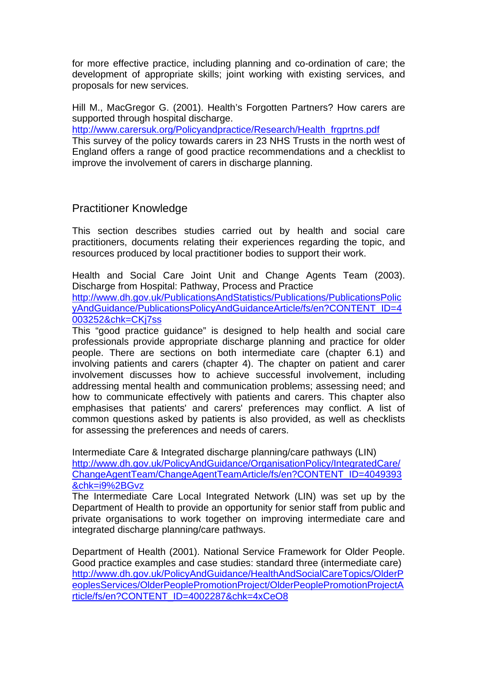for more effective practice, including planning and co-ordination of care; the development of appropriate skills; joint working with existing services, and proposals for new services.

Hill M., MacGregor G. (2001). Health's Forgotten Partners? How carers are supported through hospital discharge.

[http://www.carersuk.org/Policyandpractice/Research/Health\\_frgprtns.pdf](http://www.carersuk.org/Policyandpractice/Research/Health_frgprtns.pdf) This survey of the policy towards carers in 23 NHS Trusts in the north west of England offers a range of good practice recommendations and a checklist to improve the involvement of carers in discharge planning.

## Practitioner Knowledge

This section describes studies carried out by health and social care practitioners, documents relating their experiences regarding the topic, and resources produced by local practitioner bodies to support their work.

Health and Social Care Joint Unit and Change Agents Team (2003). Discharge from Hospital: Pathway, Process and Practice [http://www.dh.gov.uk/PublicationsAndStatistics/Publications/PublicationsPolic](http://www.dh.gov.uk/PublicationsAndStatistics/Publications/PublicationsPolicyAndGuidance/PublicationsPolicyAndGuidanceArticle/fs/en?CONTENT_ID=4003252&chk=CKj7ss) [yAndGuidance/PublicationsPolicyAndGuidanceArticle/fs/en?CONTENT\\_ID=4](http://www.dh.gov.uk/PublicationsAndStatistics/Publications/PublicationsPolicyAndGuidance/PublicationsPolicyAndGuidanceArticle/fs/en?CONTENT_ID=4003252&chk=CKj7ss)

[003252&chk=CKj7ss](http://www.dh.gov.uk/PublicationsAndStatistics/Publications/PublicationsPolicyAndGuidance/PublicationsPolicyAndGuidanceArticle/fs/en?CONTENT_ID=4003252&chk=CKj7ss)

This "good practice guidance" is designed to help health and social care professionals provide appropriate discharge planning and practice for older people. There are sections on both intermediate care (chapter 6.1) and involving patients and carers (chapter 4). The chapter on patient and carer involvement discusses how to achieve successful involvement, including addressing mental health and communication problems; assessing need; and how to communicate effectively with patients and carers. This chapter also emphasises that patients' and carers' preferences may conflict. A list of common questions asked by patients is also provided, as well as checklists for assessing the preferences and needs of carers.

Intermediate Care & Integrated discharge planning/care pathways (LIN) [http://www.dh.gov.uk/PolicyAndGuidance/OrganisationPolicy/IntegratedCare/](http://www.dh.gov.uk/PolicyAndGuidance/OrganisationPolicy/IntegratedCare/ChangeAgentTeam/ChangeAgentTeamArticle/fs/en?CONTENT_ID=4049393&chk=i9%2BGvz) [ChangeAgentTeam/ChangeAgentTeamArticle/fs/en?CONTENT\\_ID=4049393](http://www.dh.gov.uk/PolicyAndGuidance/OrganisationPolicy/IntegratedCare/ChangeAgentTeam/ChangeAgentTeamArticle/fs/en?CONTENT_ID=4049393&chk=i9%2BGvz) [&chk=i9%2BGvz](http://www.dh.gov.uk/PolicyAndGuidance/OrganisationPolicy/IntegratedCare/ChangeAgentTeam/ChangeAgentTeamArticle/fs/en?CONTENT_ID=4049393&chk=i9%2BGvz)

The Intermediate Care Local Integrated Network (LIN) was set up by the Department of Health to provide an opportunity for senior staff from public and private organisations to work together on improving intermediate care and integrated discharge planning/care pathways.

Department of Health (2001). National Service Framework for Older People. Good practice examples and case studies: standard three (intermediate care) [http://www.dh.gov.uk/PolicyAndGuidance/HealthAndSocialCareTopics/OlderP](http://www.dh.gov.uk/PolicyAndGuidance/HealthAndSocialCareTopics/OlderPeoplesServices/OlderPeoplePromotionProject/OlderPeoplePromotionProjectArticle/fs/en?CONTENT_ID=4002287&chk=4xCeO8) [eoplesServices/OlderPeoplePromotionProject/OlderPeoplePromotionProjectA](http://www.dh.gov.uk/PolicyAndGuidance/HealthAndSocialCareTopics/OlderPeoplesServices/OlderPeoplePromotionProject/OlderPeoplePromotionProjectArticle/fs/en?CONTENT_ID=4002287&chk=4xCeO8) [rticle/fs/en?CONTENT\\_ID=4002287&chk=4xCeO8](http://www.dh.gov.uk/PolicyAndGuidance/HealthAndSocialCareTopics/OlderPeoplesServices/OlderPeoplePromotionProject/OlderPeoplePromotionProjectArticle/fs/en?CONTENT_ID=4002287&chk=4xCeO8)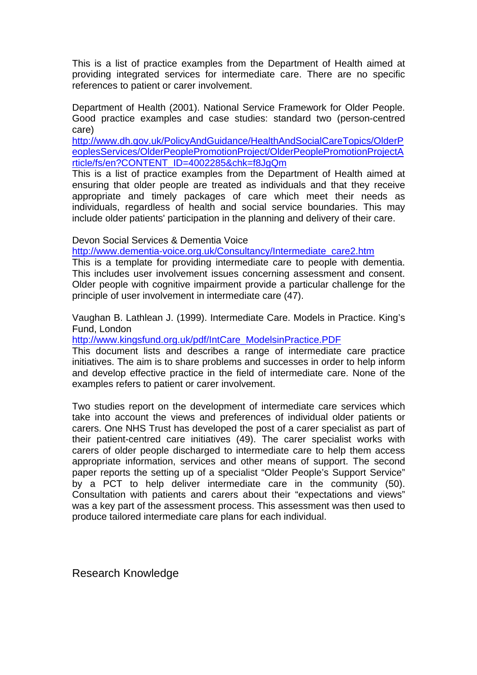This is a list of practice examples from the Department of Health aimed at providing integrated services for intermediate care. There are no specific references to patient or carer involvement.

Department of Health (2001). National Service Framework for Older People. Good practice examples and case studies: standard two (person-centred care)

[http://www.dh.gov.uk/PolicyAndGuidance/HealthAndSocialCareTopics/OlderP](http://www.dh.gov.uk/PolicyAndGuidance/HealthAndSocialCareTopics/OlderPeoplesServices/OlderPeoplePromotionProject/OlderPeoplePromotionProjectArticle/fs/en?CONTENT_ID=4002285&chk=f8JgQm) [eoplesServices/OlderPeoplePromotionProject/OlderPeoplePromotionProjectA](http://www.dh.gov.uk/PolicyAndGuidance/HealthAndSocialCareTopics/OlderPeoplesServices/OlderPeoplePromotionProject/OlderPeoplePromotionProjectArticle/fs/en?CONTENT_ID=4002285&chk=f8JgQm) [rticle/fs/en?CONTENT\\_ID=4002285&chk=f8JgQm](http://www.dh.gov.uk/PolicyAndGuidance/HealthAndSocialCareTopics/OlderPeoplesServices/OlderPeoplePromotionProject/OlderPeoplePromotionProjectArticle/fs/en?CONTENT_ID=4002285&chk=f8JgQm)

This is a list of practice examples from the Department of Health aimed at ensuring that older people are treated as individuals and that they receive appropriate and timely packages of care which meet their needs as individuals, regardless of health and social service boundaries. This may include older patients' participation in the planning and delivery of their care.

Devon Social Services & Dementia Voice

[http://www.dementia-voice.org.uk/Consultancy/Intermediate\\_care2.htm](http://www.dementia-voice.org.uk/Consultancy/Intermediate_care2.htm)

This is a template for providing intermediate care to people with dementia. This includes user involvement issues concerning assessment and consent. Older people with cognitive impairment provide a particular challenge for the principle of user involvement in intermediate care (47).

Vaughan B. Lathlean J. (1999). Intermediate Care. Models in Practice. King's Fund, London

[http://www.kingsfund.org.uk/pdf/IntCare\\_ModelsinPractice.PDF](http://www.kingsfund.org.uk/pdf/IntCare_ModelsinPractice.PDF)

This document lists and describes a range of intermediate care practice initiatives. The aim is to share problems and successes in order to help inform and develop effective practice in the field of intermediate care. None of the examples refers to patient or carer involvement.

Two studies report on the development of intermediate care services which take into account the views and preferences of individual older patients or carers. One NHS Trust has developed the post of a carer specialist as part of their patient-centred care initiatives (49). The carer specialist works with carers of older people discharged to intermediate care to help them access appropriate information, services and other means of support. The second paper reports the setting up of a specialist "Older People's Support Service" by a PCT to help deliver intermediate care in the community (50). Consultation with patients and carers about their "expectations and views" was a key part of the assessment process. This assessment was then used to produce tailored intermediate care plans for each individual.

Research Knowledge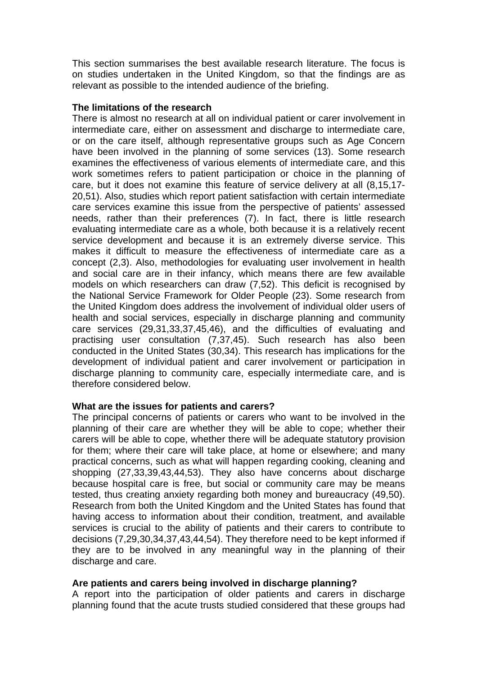This section summarises the best available research literature. The focus is on studies undertaken in the United Kingdom, so that the findings are as relevant as possible to the intended audience of the briefing.

#### **The limitations of the research**

There is almost no research at all on individual patient or carer involvement in intermediate care, either on assessment and discharge to intermediate care, or on the care itself, although representative groups such as Age Concern have been involved in the planning of some services (13). Some research examines the effectiveness of various elements of intermediate care, and this work sometimes refers to patient participation or choice in the planning of care, but it does not examine this feature of service delivery at all (8,15,17- 20,51). Also, studies which report patient satisfaction with certain intermediate care services examine this issue from the perspective of patients' assessed needs, rather than their preferences (7). In fact, there is little research evaluating intermediate care as a whole, both because it is a relatively recent service development and because it is an extremely diverse service. This makes it difficult to measure the effectiveness of intermediate care as a concept (2,3). Also, methodologies for evaluating user involvement in health and social care are in their infancy, which means there are few available models on which researchers can draw (7,52). This deficit is recognised by the National Service Framework for Older People (23). Some research from the United Kingdom does address the involvement of individual older users of health and social services, especially in discharge planning and community care services (29,31,33,37,45,46), and the difficulties of evaluating and practising user consultation (7,37,45). Such research has also been conducted in the United States (30,34). This research has implications for the development of individual patient and carer involvement or participation in discharge planning to community care, especially intermediate care, and is therefore considered below.

### **What are the issues for patients and carers?**

The principal concerns of patients or carers who want to be involved in the planning of their care are whether they will be able to cope; whether their carers will be able to cope, whether there will be adequate statutory provision for them; where their care will take place, at home or elsewhere; and many practical concerns, such as what will happen regarding cooking, cleaning and shopping (27,33,39,43,44,53). They also have concerns about discharge because hospital care is free, but social or community care may be means tested, thus creating anxiety regarding both money and bureaucracy (49,50). Research from both the United Kingdom and the United States has found that having access to information about their condition, treatment, and available services is crucial to the ability of patients and their carers to contribute to decisions (7,29,30,34,37,43,44,54). They therefore need to be kept informed if they are to be involved in any meaningful way in the planning of their discharge and care.

### **Are patients and carers being involved in discharge planning?**

A report into the participation of older patients and carers in discharge planning found that the acute trusts studied considered that these groups had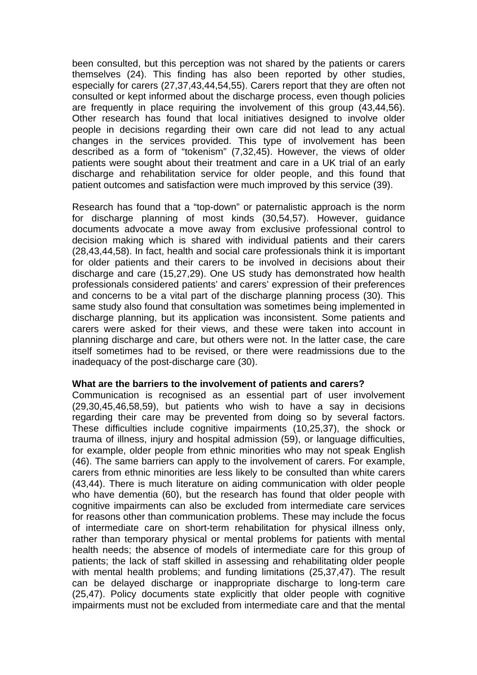been consulted, but this perception was not shared by the patients or carers themselves (24). This finding has also been reported by other studies, especially for carers (27,37,43,44,54,55). Carers report that they are often not consulted or kept informed about the discharge process, even though policies are frequently in place requiring the involvement of this group (43,44,56). Other research has found that local initiatives designed to involve older people in decisions regarding their own care did not lead to any actual changes in the services provided. This type of involvement has been described as a form of "tokenism" (7,32,45). However, the views of older patients were sought about their treatment and care in a UK trial of an early discharge and rehabilitation service for older people, and this found that patient outcomes and satisfaction were much improved by this service (39).

Research has found that a "top-down" or paternalistic approach is the norm for discharge planning of most kinds (30,54,57). However, guidance documents advocate a move away from exclusive professional control to decision making which is shared with individual patients and their carers (28,43,44,58). In fact, health and social care professionals think it is important for older patients and their carers to be involved in decisions about their discharge and care (15,27,29). One US study has demonstrated how health professionals considered patients' and carers' expression of their preferences and concerns to be a vital part of the discharge planning process (30). This same study also found that consultation was sometimes being implemented in discharge planning, but its application was inconsistent. Some patients and carers were asked for their views, and these were taken into account in planning discharge and care, but others were not. In the latter case, the care itself sometimes had to be revised, or there were readmissions due to the inadequacy of the post-discharge care (30).

#### **What are the barriers to the involvement of patients and carers?**

Communication is recognised as an essential part of user involvement (29,30,45,46,58,59), but patients who wish to have a say in decisions regarding their care may be prevented from doing so by several factors. These difficulties include cognitive impairments (10,25,37), the shock or trauma of illness, injury and hospital admission (59), or language difficulties, for example, older people from ethnic minorities who may not speak English (46). The same barriers can apply to the involvement of carers. For example, carers from ethnic minorities are less likely to be consulted than white carers (43,44). There is much literature on aiding communication with older people who have dementia (60), but the research has found that older people with cognitive impairments can also be excluded from intermediate care services for reasons other than communication problems. These may include the focus of intermediate care on short-term rehabilitation for physical illness only, rather than temporary physical or mental problems for patients with mental health needs; the absence of models of intermediate care for this group of patients; the lack of staff skilled in assessing and rehabilitating older people with mental health problems; and funding limitations (25,37,47). The result can be delayed discharge or inappropriate discharge to long-term care (25,47). Policy documents state explicitly that older people with cognitive impairments must not be excluded from intermediate care and that the mental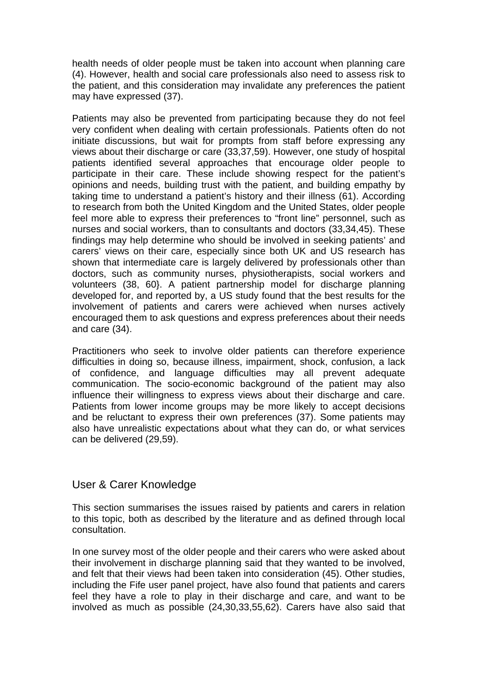health needs of older people must be taken into account when planning care (4). However, health and social care professionals also need to assess risk to the patient, and this consideration may invalidate any preferences the patient may have expressed (37).

Patients may also be prevented from participating because they do not feel very confident when dealing with certain professionals. Patients often do not initiate discussions, but wait for prompts from staff before expressing any views about their discharge or care (33,37,59). However, one study of hospital patients identified several approaches that encourage older people to participate in their care. These include showing respect for the patient's opinions and needs, building trust with the patient, and building empathy by taking time to understand a patient's history and their illness (61). According to research from both the United Kingdom and the United States, older people feel more able to express their preferences to "front line" personnel, such as nurses and social workers, than to consultants and doctors (33,34,45). These findings may help determine who should be involved in seeking patients' and carers' views on their care, especially since both UK and US research has shown that intermediate care is largely delivered by professionals other than doctors, such as community nurses, physiotherapists, social workers and volunteers (38, 60}. A patient partnership model for discharge planning developed for, and reported by, a US study found that the best results for the involvement of patients and carers were achieved when nurses actively encouraged them to ask questions and express preferences about their needs and care (34).

Practitioners who seek to involve older patients can therefore experience difficulties in doing so, because illness, impairment, shock, confusion, a lack of confidence, and language difficulties may all prevent adequate communication. The socio-economic background of the patient may also influence their willingness to express views about their discharge and care. Patients from lower income groups may be more likely to accept decisions and be reluctant to express their own preferences (37). Some patients may also have unrealistic expectations about what they can do, or what services can be delivered (29,59).

## User & Carer Knowledge

This section summarises the issues raised by patients and carers in relation to this topic, both as described by the literature and as defined through local consultation.

In one survey most of the older people and their carers who were asked about their involvement in discharge planning said that they wanted to be involved, and felt that their views had been taken into consideration (45). Other studies, including the Fife user panel project, have also found that patients and carers feel they have a role to play in their discharge and care, and want to be involved as much as possible (24,30,33,55,62). Carers have also said that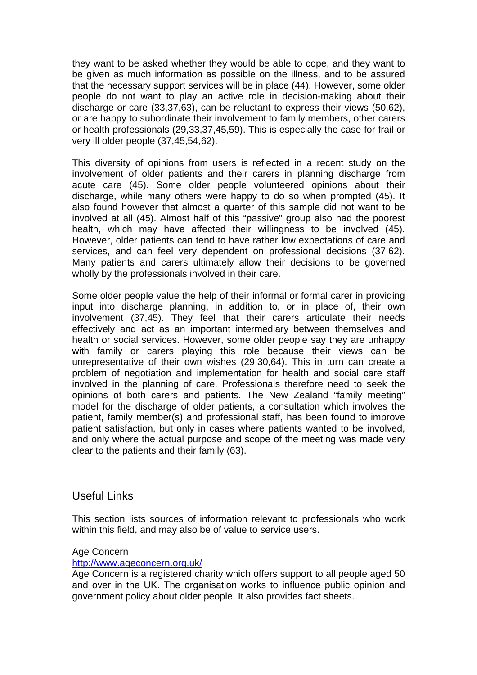they want to be asked whether they would be able to cope, and they want to be given as much information as possible on the illness, and to be assured that the necessary support services will be in place (44). However, some older people do not want to play an active role in decision-making about their discharge or care (33,37,63), can be reluctant to express their views (50,62), or are happy to subordinate their involvement to family members, other carers or health professionals (29,33,37,45,59). This is especially the case for frail or very ill older people (37,45,54,62).

This diversity of opinions from users is reflected in a recent study on the involvement of older patients and their carers in planning discharge from acute care (45). Some older people volunteered opinions about their discharge, while many others were happy to do so when prompted (45). It also found however that almost a quarter of this sample did not want to be involved at all (45). Almost half of this "passive" group also had the poorest health, which may have affected their willingness to be involved (45). However, older patients can tend to have rather low expectations of care and services, and can feel very dependent on professional decisions (37,62). Many patients and carers ultimately allow their decisions to be governed wholly by the professionals involved in their care.

Some older people value the help of their informal or formal carer in providing input into discharge planning, in addition to, or in place of, their own involvement (37,45). They feel that their carers articulate their needs effectively and act as an important intermediary between themselves and health or social services. However, some older people say they are unhappy with family or carers playing this role because their views can be unrepresentative of their own wishes (29,30,64). This in turn can create a problem of negotiation and implementation for health and social care staff involved in the planning of care. Professionals therefore need to seek the opinions of both carers and patients. The New Zealand "family meeting" model for the discharge of older patients, a consultation which involves the patient, family member(s) and professional staff, has been found to improve patient satisfaction, but only in cases where patients wanted to be involved, and only where the actual purpose and scope of the meeting was made very clear to the patients and their family (63).

### Useful Links

This section lists sources of information relevant to professionals who work within this field, and may also be of value to service users.

#### Age Concern

#### <http://www.ageconcern.org.uk/>

Age Concern is a registered charity which offers support to all people aged 50 and over in the UK. The organisation works to influence public opinion and government policy about older people. It also provides fact sheets.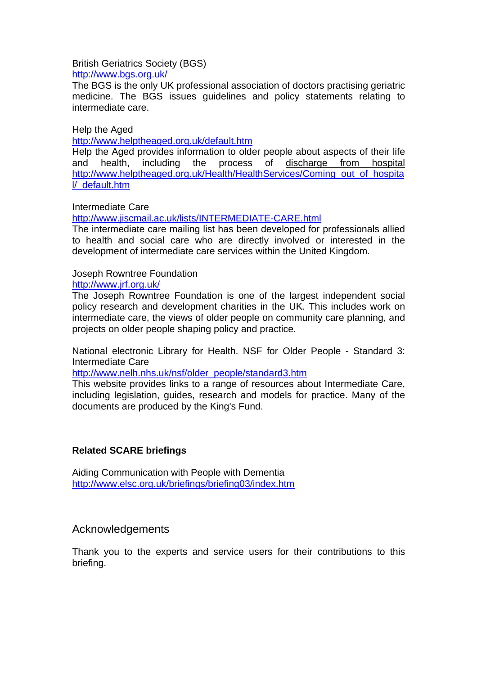### British Geriatrics Society (BGS)

<http://www.bgs.org.uk/>

The BGS is the only UK professional association of doctors practising geriatric medicine. The BGS issues guidelines and policy statements relating to intermediate care.

Help the Aged

<http://www.helptheaged.org.uk/default.htm>

Help the Aged provides information to older people about aspects of their life and health, including the process of discharge from hospital [http://www.helptheaged.org.uk/Health/HealthServices/Coming\\_out\\_of\\_hospita](http://www.helptheaged.org.uk/Health/HealthServices/Coming_out_of_hospital/_default.htm) [l/\\_default.htm](http://www.helptheaged.org.uk/Health/HealthServices/Coming_out_of_hospital/_default.htm)

### Intermediate Care

<http://www.jiscmail.ac.uk/lists/INTERMEDIATE-CARE.html>

The intermediate care mailing list has been developed for professionals allied to health and social care who are directly involved or interested in the development of intermediate care services within the United Kingdom.

### Joseph Rowntree Foundation

<http://www.jrf.org.uk/>

The Joseph Rowntree Foundation is one of the largest independent social policy research and development charities in the UK. This includes work on intermediate care, the views of older people on community care planning, and projects on older people shaping policy and practice.

National electronic Library for Health. NSF for Older People - Standard 3: Intermediate Care

[http://www.nelh.nhs.uk/nsf/older\\_people/standard3.htm](http://www.nelh.nhs.uk/nsf/older_people/standard3.htm)

This website provides links to a range of resources about Intermediate Care, including legislation, guides, research and models for practice. Many of the documents are produced by the King's Fund.

### **Related SCARE briefings**

Aiding Communication with People with Dementia <http://www.elsc.org.uk/briefings/briefing03/index.htm>

## Acknowledgements

Thank you to the experts and service users for their contributions to this briefing.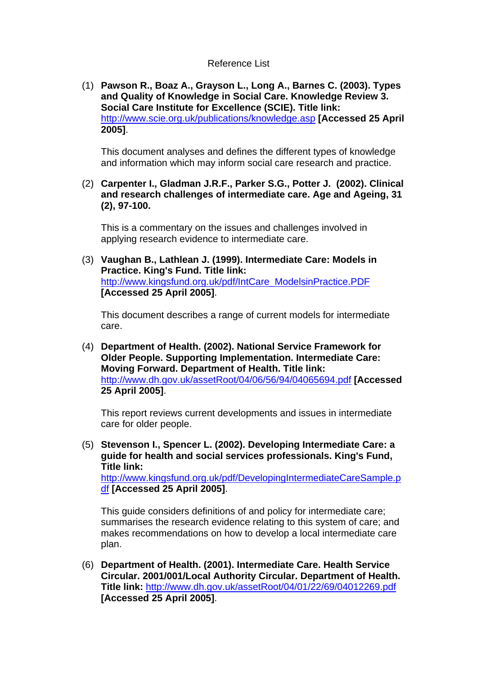#### Reference List

 (1) **Pawson R., Boaz A., Grayson L., Long A., Barnes C. (2003). Types and Quality of Knowledge in Social Care. Knowledge Review 3. Social Care Institute for Excellence (SCIE). Title link:** <http://www.scie.org.uk/publications/knowledge.asp> **[Accessed 25 April 2005]**.

This document analyses and defines the different types of knowledge and information which may inform social care research and practice.

 (2) **Carpenter I., Gladman J.R.F., Parker S.G., Potter J. (2002). Clinical and research challenges of intermediate care. Age and Ageing, 31 (2), 97-100.**

This is a commentary on the issues and challenges involved in applying research evidence to intermediate care.

 (3) **Vaughan B., Lathlean J. (1999). Intermediate Care: Models in Practice. King's Fund. Title link:** [http://www.kingsfund.org.uk/pdf/IntCare\\_ModelsinPractice.PDF](http://www.kingsfund.org.uk/pdf/IntCare_ModelsinPractice.PDF) **[Accessed 25 April 2005]**.

This document describes a range of current models for intermediate care.

 (4) **Department of Health. (2002). National Service Framework for Older People. Supporting Implementation. Intermediate Care: Moving Forward. Department of Health. Title link:** <http://www.dh.gov.uk/assetRoot/04/06/56/94/04065694.pdf> **[Accessed 25 April 2005]**.

This report reviews current developments and issues in intermediate care for older people.

 (5) **Stevenson I., Spencer L. (2002). Developing Intermediate Care: a guide for health and social services professionals. King's Fund, Title link:**

[http://www.kingsfund.org.uk/pdf/DevelopingIntermediateCareSample.p](http://www.kingsfund.org.uk/pdf/DevelopingIntermediateCareSample.pdf) [df](http://www.kingsfund.org.uk/pdf/DevelopingIntermediateCareSample.pdf) **[Accessed 25 April 2005]**.

This guide considers definitions of and policy for intermediate care; summarises the research evidence relating to this system of care; and makes recommendations on how to develop a local intermediate care plan.

 (6) **Department of Health. (2001). Intermediate Care. Health Service Circular. 2001/001/Local Authority Circular. Department of Health. Title link:** <http://www.dh.gov.uk/assetRoot/04/01/22/69/04012269.pdf> **[Accessed 25 April 2005]**.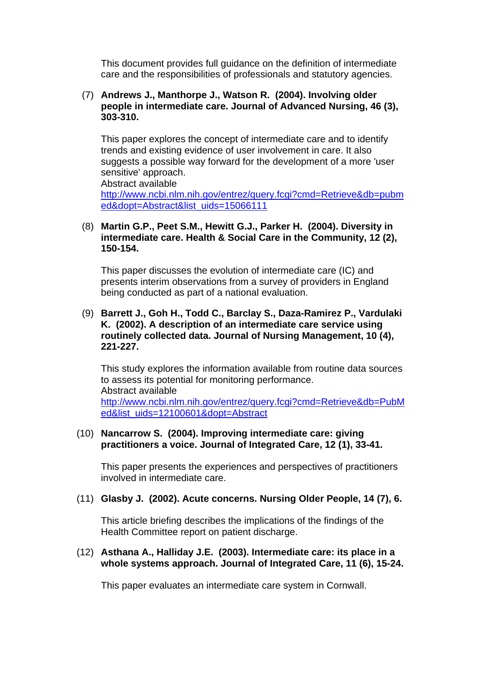This document provides full guidance on the definition of intermediate care and the responsibilities of professionals and statutory agencies.

#### (7) **Andrews J., Manthorpe J., Watson R. (2004). Involving older people in intermediate care. Journal of Advanced Nursing, 46 (3), 303-310.**

This paper explores the concept of intermediate care and to identify trends and existing evidence of user involvement in care. It also suggests a possible way forward for the development of a more 'user sensitive' approach.

Abstract available [http://www.ncbi.nlm.nih.gov/entrez/query.fcgi?cmd=Retrieve&db=pubm](http://www.ncbi.nlm.nih.gov/entrez/query.fcgi?cmd=Retrieve&db=pubmed&dopt=Abstract&list_uids=15066111) [ed&dopt=Abstract&list\\_uids=15066111](http://www.ncbi.nlm.nih.gov/entrez/query.fcgi?cmd=Retrieve&db=pubmed&dopt=Abstract&list_uids=15066111)

#### (8) **Martin G.P., Peet S.M., Hewitt G.J., Parker H. (2004). Diversity in intermediate care. Health & Social Care in the Community, 12 (2), 150-154.**

This paper discusses the evolution of intermediate care (IC) and presents interim observations from a survey of providers in England being conducted as part of a national evaluation.

#### (9) **Barrett J., Goh H., Todd C., Barclay S., Daza-Ramirez P., Vardulaki K. (2002). A description of an intermediate care service using routinely collected data. Journal of Nursing Management, 10 (4), 221-227.**

This study explores the information available from routine data sources to assess its potential for monitoring performance. Abstract available [http://www.ncbi.nlm.nih.gov/entrez/query.fcgi?cmd=Retrieve&db=PubM](http://www.ncbi.nlm.nih.gov/entrez/query.fcgi?cmd=Retrieve&db=PubMed&list_uids=12100601&dopt=Abstract) [ed&list\\_uids=12100601&dopt=Abstract](http://www.ncbi.nlm.nih.gov/entrez/query.fcgi?cmd=Retrieve&db=PubMed&list_uids=12100601&dopt=Abstract)

#### (10) **Nancarrow S. (2004). Improving intermediate care: giving practitioners a voice. Journal of Integrated Care, 12 (1), 33-41.**

This paper presents the experiences and perspectives of practitioners involved in intermediate care.

### (11) **Glasby J. (2002). Acute concerns. Nursing Older People, 14 (7), 6.**

This article briefing describes the implications of the findings of the Health Committee report on patient discharge.

#### (12) **Asthana A., Halliday J.E. (2003). Intermediate care: its place in a whole systems approach. Journal of Integrated Care, 11 (6), 15-24.**

This paper evaluates an intermediate care system in Cornwall.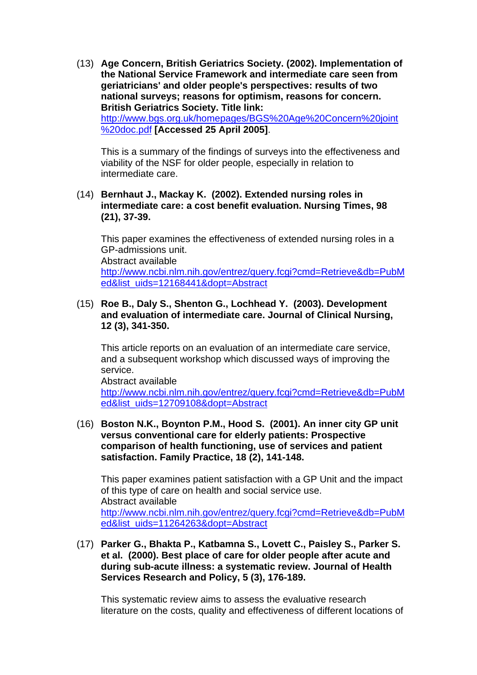(13) **Age Concern, British Geriatrics Society. (2002). Implementation of the National Service Framework and intermediate care seen from geriatricians' and older people's perspectives: results of two national surveys; reasons for optimism, reasons for concern. British Geriatrics Society. Title link:** [http://www.bgs.org.uk/homepages/BGS%20Age%20Concern%20joint](http://www.bgs.org.uk/homepages/BGS Age Concern joint doc.pdf) [%20doc.pdf](http://www.bgs.org.uk/homepages/BGS Age Concern joint doc.pdf) **[Accessed 25 April 2005]**.

This is a summary of the findings of surveys into the effectiveness and viability of the NSF for older people, especially in relation to intermediate care.

 (14) **Bernhaut J., Mackay K. (2002). Extended nursing roles in intermediate care: a cost benefit evaluation. Nursing Times, 98 (21), 37-39.**

This paper examines the effectiveness of extended nursing roles in a GP-admissions unit. Abstract available [http://www.ncbi.nlm.nih.gov/entrez/query.fcgi?cmd=Retrieve&db=PubM](http://www.ncbi.nlm.nih.gov/entrez/query.fcgi?cmd=Retrieve&db=PubMed&list_uids=12168441&dopt=Abstract) [ed&list\\_uids=12168441&dopt=Abstract](http://www.ncbi.nlm.nih.gov/entrez/query.fcgi?cmd=Retrieve&db=PubMed&list_uids=12168441&dopt=Abstract)

#### (15) **Roe B., Daly S., Shenton G., Lochhead Y. (2003). Development and evaluation of intermediate care. Journal of Clinical Nursing, 12 (3), 341-350.**

This article reports on an evaluation of an intermediate care service, and a subsequent workshop which discussed ways of improving the service.

Abstract available [http://www.ncbi.nlm.nih.gov/entrez/query.fcgi?cmd=Retrieve&db=PubM](http://www.ncbi.nlm.nih.gov/entrez/query.fcgi?cmd=Retrieve&db=PubMed&list_uids=12709108&dopt=Abstract) [ed&list\\_uids=12709108&dopt=Abstract](http://www.ncbi.nlm.nih.gov/entrez/query.fcgi?cmd=Retrieve&db=PubMed&list_uids=12709108&dopt=Abstract)

 (16) **Boston N.K., Boynton P.M., Hood S. (2001). An inner city GP unit versus conventional care for elderly patients: Prospective comparison of health functioning, use of services and patient satisfaction. Family Practice, 18 (2), 141-148.**

This paper examines patient satisfaction with a GP Unit and the impact of this type of care on health and social service use. Abstract available [http://www.ncbi.nlm.nih.gov/entrez/query.fcgi?cmd=Retrieve&db=PubM](http://www.ncbi.nlm.nih.gov/entrez/query.fcgi?cmd=Retrieve&db=PubMed&list_uids=11264263&dopt=Abstract) [ed&list\\_uids=11264263&dopt=Abstract](http://www.ncbi.nlm.nih.gov/entrez/query.fcgi?cmd=Retrieve&db=PubMed&list_uids=11264263&dopt=Abstract)

 (17) **Parker G., Bhakta P., Katbamna S., Lovett C., Paisley S., Parker S. et al. (2000). Best place of care for older people after acute and during sub-acute illness: a systematic review. Journal of Health Services Research and Policy, 5 (3), 176-189.**

This systematic review aims to assess the evaluative research literature on the costs, quality and effectiveness of different locations of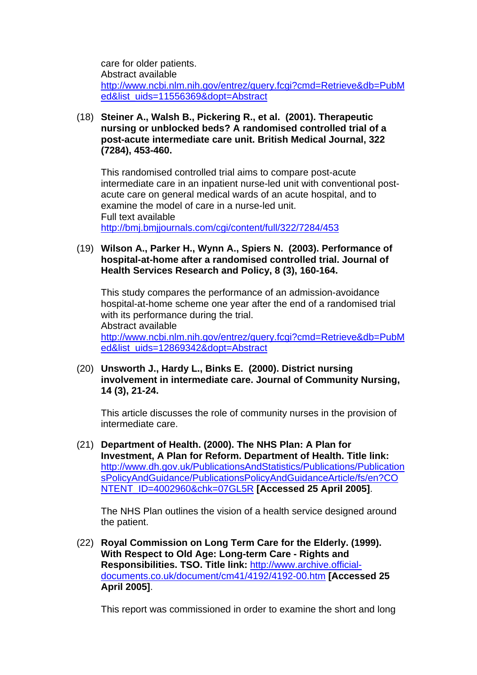care for older patients. Abstract available [http://www.ncbi.nlm.nih.gov/entrez/query.fcgi?cmd=Retrieve&db=PubM](http://www.ncbi.nlm.nih.gov/entrez/query.fcgi?cmd=Retrieve&db=PubMed&list_uids=11556369&dopt=Abstract) [ed&list\\_uids=11556369&dopt=Abstract](http://www.ncbi.nlm.nih.gov/entrez/query.fcgi?cmd=Retrieve&db=PubMed&list_uids=11556369&dopt=Abstract)

 (18) **Steiner A., Walsh B., Pickering R., et al. (2001). Therapeutic nursing or unblocked beds? A randomised controlled trial of a post-acute intermediate care unit. British Medical Journal, 322 (7284), 453-460.**

This randomised controlled trial aims to compare post-acute intermediate care in an inpatient nurse-led unit with conventional postacute care on general medical wards of an acute hospital, and to examine the model of care in a nurse-led unit. Full text available <http://bmj.bmjjournals.com/cgi/content/full/322/7284/453>

 (19) **Wilson A., Parker H., Wynn A., Spiers N. (2003). Performance of hospital-at-home after a randomised controlled trial. Journal of Health Services Research and Policy, 8 (3), 160-164.**

This study compares the performance of an admission-avoidance hospital-at-home scheme one year after the end of a randomised trial with its performance during the trial. Abstract available [http://www.ncbi.nlm.nih.gov/entrez/query.fcgi?cmd=Retrieve&db=PubM](http://www.ncbi.nlm.nih.gov/entrez/query.fcgi?cmd=Retrieve&db=PubMed&list_uids=12869342&dopt=Abstract) [ed&list\\_uids=12869342&dopt=Abstract](http://www.ncbi.nlm.nih.gov/entrez/query.fcgi?cmd=Retrieve&db=PubMed&list_uids=12869342&dopt=Abstract)

 (20) **Unsworth J., Hardy L., Binks E. (2000). District nursing involvement in intermediate care. Journal of Community Nursing, 14 (3), 21-24.**

This article discusses the role of community nurses in the provision of intermediate care.

 (21) **Department of Health. (2000). The NHS Plan: A Plan for Investment, A Plan for Reform. Department of Health. Title link:** [http://www.dh.gov.uk/PublicationsAndStatistics/Publications/Publication](http://www.dh.gov.uk/PublicationsAndStatistics/Publications/PublicationsPolicyAndGuidance/PublicationsPolicyAndGuidanceArticle/fs/en?CONTENT_ID=4002960&chk=07GL5R) [sPolicyAndGuidance/PublicationsPolicyAndGuidanceArticle/fs/en?CO](http://www.dh.gov.uk/PublicationsAndStatistics/Publications/PublicationsPolicyAndGuidance/PublicationsPolicyAndGuidanceArticle/fs/en?CONTENT_ID=4002960&chk=07GL5R) [NTENT\\_ID=4002960&chk=07GL5R](http://www.dh.gov.uk/PublicationsAndStatistics/Publications/PublicationsPolicyAndGuidance/PublicationsPolicyAndGuidanceArticle/fs/en?CONTENT_ID=4002960&chk=07GL5R) **[Accessed 25 April 2005]**.

The NHS Plan outlines the vision of a health service designed around the patient.

 (22) **Royal Commission on Long Term Care for the Elderly. (1999). With Respect to Old Age: Long-term Care - Rights and Responsibilities. TSO. Title link:** [http://www.archive.official](http://www.archive.official-documents.co.uk/document/cm41/4192/4192-00.htm)[documents.co.uk/document/cm41/4192/4192-00.htm](http://www.archive.official-documents.co.uk/document/cm41/4192/4192-00.htm) **[Accessed 25 April 2005]**.

This report was commissioned in order to examine the short and long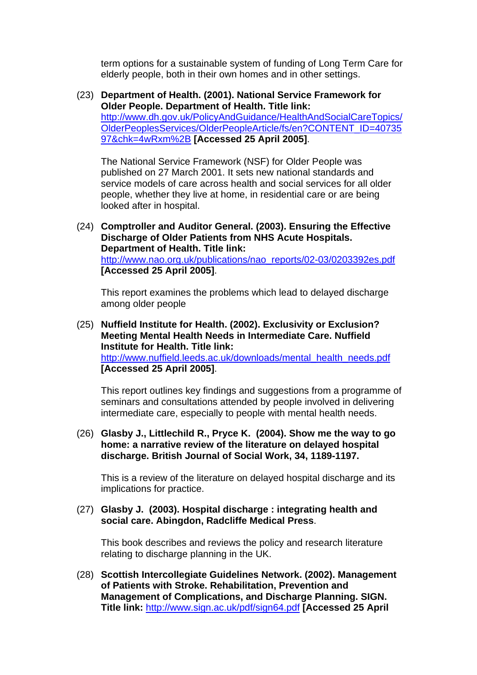term options for a sustainable system of funding of Long Term Care for elderly people, both in their own homes and in other settings.

 (23) **Department of Health. (2001). National Service Framework for Older People. Department of Health. Title link:** [http://www.dh.gov.uk/PolicyAndGuidance/HealthAndSocialCareTopics/](http://www.dh.gov.uk/PolicyAndGuidance/HealthAndSocialCareTopics/OlderPeoplesServices/OlderPeopleArticle/fs/en?CONTENT_ID=4073597&chk=4wRxm%2B) [OlderPeoplesServices/OlderPeopleArticle/fs/en?CONTENT\\_ID=40735](http://www.dh.gov.uk/PolicyAndGuidance/HealthAndSocialCareTopics/OlderPeoplesServices/OlderPeopleArticle/fs/en?CONTENT_ID=4073597&chk=4wRxm%2B) [97&chk=4wRxm%2B](http://www.dh.gov.uk/PolicyAndGuidance/HealthAndSocialCareTopics/OlderPeoplesServices/OlderPeopleArticle/fs/en?CONTENT_ID=4073597&chk=4wRxm%2B) **[Accessed 25 April 2005]**.

The National Service Framework (NSF) for Older People was published on 27 March 2001. It sets new national standards and service models of care across health and social services for all older people, whether they live at home, in residential care or are being looked after in hospital.

 (24) **Comptroller and Auditor General. (2003). Ensuring the Effective Discharge of Older Patients from NHS Acute Hospitals. Department of Health. Title link:** [http://www.nao.org.uk/publications/nao\\_reports/02-03/0203392es.pdf](http://www.nao.org.uk/publications/nao_reports/02-03/0203392es.pdf) **[Accessed 25 April 2005]**.

This report examines the problems which lead to delayed discharge among older people

 (25) **Nuffield Institute for Health. (2002). Exclusivity or Exclusion? Meeting Mental Health Needs in Intermediate Care. Nuffield Institute for Health. Title link:** [http://www.nuffield.leeds.ac.uk/downloads/mental\\_health\\_needs.pdf](http://www.nuffield.leeds.ac.uk/downloads/mental_health_needs.pdf)

**[Accessed 25 April 2005]**.

This report outlines key findings and suggestions from a programme of seminars and consultations attended by people involved in delivering intermediate care, especially to people with mental health needs.

 (26) **Glasby J., Littlechild R., Pryce K. (2004). Show me the way to go home: a narrative review of the literature on delayed hospital discharge. British Journal of Social Work, 34, 1189-1197.**

This is a review of the literature on delayed hospital discharge and its implications for practice.

 (27) **Glasby J. (2003). Hospital discharge : integrating health and social care. Abingdon, Radcliffe Medical Press**.

This book describes and reviews the policy and research literature relating to discharge planning in the UK.

 (28) **Scottish Intercollegiate Guidelines Network. (2002). Management of Patients with Stroke. Rehabilitation, Prevention and Management of Complications, and Discharge Planning. SIGN. Title link:** <http://www.sign.ac.uk/pdf/sign64.pdf> **[Accessed 25 April**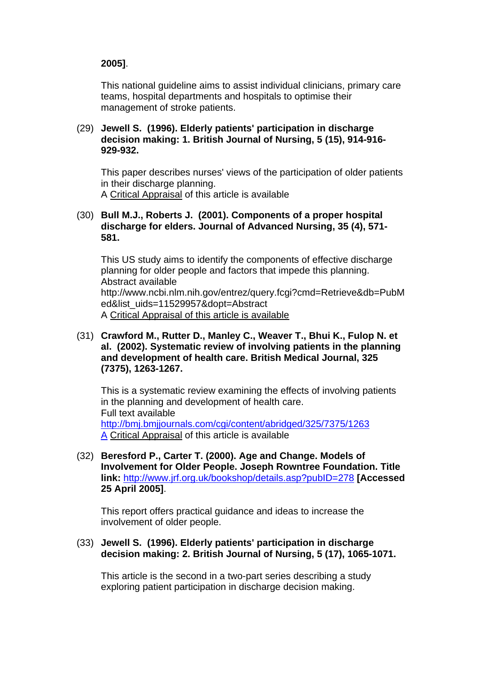### **2005]**.

This national guideline aims to assist individual clinicians, primary care teams, hospital departments and hospitals to optimise their management of stroke patients.

#### (29) **Jewell S. (1996). Elderly patients' participation in discharge decision making: 1. British Journal of Nursing, 5 (15), 914-916- 929-932.**

This paper describes nurses' views of the participation of older patients in their discharge planning. A Critical Appraisal of this article is available

#### (30) **Bull M.J., Roberts J. (2001). Components of a proper hospital discharge for elders. Journal of Advanced Nursing, 35 (4), 571- 581.**

This US study aims to identify the components of effective discharge planning for older people and factors that impede this planning. Abstract available http://www.ncbi.nlm.nih.gov/entrez/query.fcgi?cmd=Retrieve&db=PubM ed&list\_uids=11529957&dopt=Abstract A Critical Appraisal of this article is available

 (31) **Crawford M., Rutter D., Manley C., Weaver T., Bhui K., Fulop N. et al. (2002). Systematic review of involving patients in the planning and development of health care. British Medical Journal, 325 (7375), 1263-1267.**

This is a systematic review examining the effects of involving patients in the planning and development of health care. Full text available [http://bmj.bmjjournals.com/cgi/content/abridged/325/7375/1263](http://bmj.bmjjournals.com/cgi/content/abridged/325/7375/1263A) [A](http://bmj.bmjjournals.com/cgi/content/abridged/325/7375/1263A) Critical Appraisal of this article is available

 (32) **Beresford P., Carter T. (2000). Age and Change. Models of Involvement for Older People. Joseph Rowntree Foundation. Title link:** <http://www.jrf.org.uk/bookshop/details.asp?pubID=278> **[Accessed 25 April 2005]**.

This report offers practical guidance and ideas to increase the involvement of older people.

 (33) **Jewell S. (1996). Elderly patients' participation in discharge decision making: 2. British Journal of Nursing, 5 (17), 1065-1071.**

This article is the second in a two-part series describing a study exploring patient participation in discharge decision making.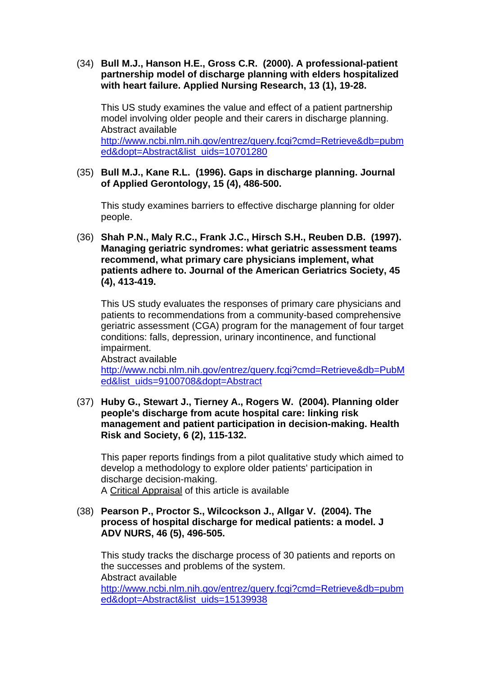(34) **Bull M.J., Hanson H.E., Gross C.R. (2000). A professional-patient partnership model of discharge planning with elders hospitalized with heart failure. Applied Nursing Research, 13 (1), 19-28.**

This US study examines the value and effect of a patient partnership model involving older people and their carers in discharge planning. Abstract available [http://www.ncbi.nlm.nih.gov/entrez/query.fcgi?cmd=Retrieve&db=pubm](http://www.ncbi.nlm.nih.gov/entrez/query.fcgi?cmd=Retrieve&db=pubmed&dopt=Abstract&list_uids=10701280) [ed&dopt=Abstract&list\\_uids=10701280](http://www.ncbi.nlm.nih.gov/entrez/query.fcgi?cmd=Retrieve&db=pubmed&dopt=Abstract&list_uids=10701280)

 (35) **Bull M.J., Kane R.L. (1996). Gaps in discharge planning. Journal of Applied Gerontology, 15 (4), 486-500.**

This study examines barriers to effective discharge planning for older people.

 (36) **Shah P.N., Maly R.C., Frank J.C., Hirsch S.H., Reuben D.B. (1997). Managing geriatric syndromes: what geriatric assessment teams recommend, what primary care physicians implement, what patients adhere to. Journal of the American Geriatrics Society, 45 (4), 413-419.**

This US study evaluates the responses of primary care physicians and patients to recommendations from a community-based comprehensive geriatric assessment (CGA) program for the management of four target conditions: falls, depression, urinary incontinence, and functional impairment.

Abstract available [http://www.ncbi.nlm.nih.gov/entrez/query.fcgi?cmd=Retrieve&db=PubM](http://www.ncbi.nlm.nih.gov/entrez/query.fcgi?cmd=Retrieve&db=PubMed&list_uids=9100708&dopt=Abstract) [ed&list\\_uids=9100708&dopt=Abstract](http://www.ncbi.nlm.nih.gov/entrez/query.fcgi?cmd=Retrieve&db=PubMed&list_uids=9100708&dopt=Abstract)

 (37) **Huby G., Stewart J., Tierney A., Rogers W. (2004). Planning older people's discharge from acute hospital care: linking risk management and patient participation in decision-making. Health Risk and Society, 6 (2), 115-132.**

This paper reports findings from a pilot qualitative study which aimed to develop a methodology to explore older patients' participation in discharge decision-making. A Critical Appraisal of this article is available

 (38) **Pearson P., Proctor S., Wilcockson J., Allgar V. (2004). The process of hospital discharge for medical patients: a model. J ADV NURS, 46 (5), 496-505.**

This study tracks the discharge process of 30 patients and reports on the successes and problems of the system. Abstract available [http://www.ncbi.nlm.nih.gov/entrez/query.fcgi?cmd=Retrieve&db=pubm](http://www.ncbi.nlm.nih.gov/entrez/query.fcgi?cmd=Retrieve&db=pubmed&dopt=Abstract&list_uids=15139938) [ed&dopt=Abstract&list\\_uids=15139938](http://www.ncbi.nlm.nih.gov/entrez/query.fcgi?cmd=Retrieve&db=pubmed&dopt=Abstract&list_uids=15139938)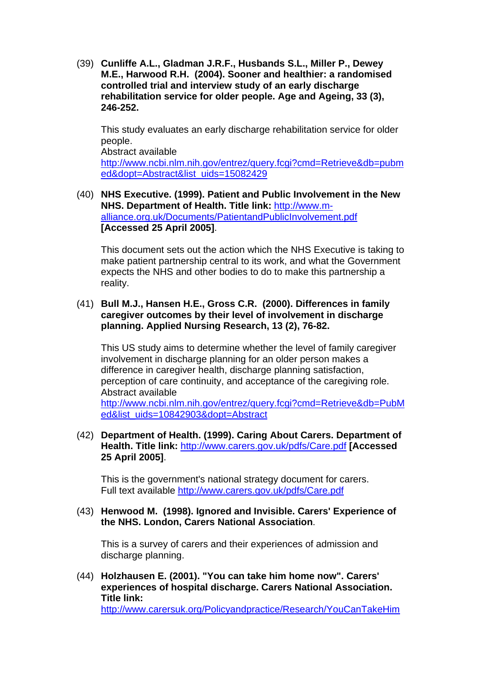(39) **Cunliffe A.L., Gladman J.R.F., Husbands S.L., Miller P., Dewey M.E., Harwood R.H. (2004). Sooner and healthier: a randomised controlled trial and interview study of an early discharge rehabilitation service for older people. Age and Ageing, 33 (3), 246-252.**

This study evaluates an early discharge rehabilitation service for older people. Abstract available [http://www.ncbi.nlm.nih.gov/entrez/query.fcgi?cmd=Retrieve&db=pubm](http://www.ncbi.nlm.nih.gov/entrez/query.fcgi?cmd=Retrieve&db=pubmed&dopt=Abstract&list_uids=15082429) [ed&dopt=Abstract&list\\_uids=15082429](http://www.ncbi.nlm.nih.gov/entrez/query.fcgi?cmd=Retrieve&db=pubmed&dopt=Abstract&list_uids=15082429)

 (40) **NHS Executive. (1999). Patient and Public Involvement in the New NHS. Department of Health. Title link:** [http://www.m](http://www.m-alliance.org.uk/Documents/PatientandPublicInvolvement.pdf)[alliance.org.uk/Documents/PatientandPublicInvolvement.pdf](http://www.m-alliance.org.uk/Documents/PatientandPublicInvolvement.pdf) **[Accessed 25 April 2005]**.

This document sets out the action which the NHS Executive is taking to make patient partnership central to its work, and what the Government expects the NHS and other bodies to do to make this partnership a reality.

### (41) **Bull M.J., Hansen H.E., Gross C.R. (2000). Differences in family caregiver outcomes by their level of involvement in discharge planning. Applied Nursing Research, 13 (2), 76-82.**

This US study aims to determine whether the level of family caregiver involvement in discharge planning for an older person makes a difference in caregiver health, discharge planning satisfaction, perception of care continuity, and acceptance of the caregiving role. Abstract available

[http://www.ncbi.nlm.nih.gov/entrez/query.fcgi?cmd=Retrieve&db=PubM](http://www.ncbi.nlm.nih.gov/entrez/query.fcgi?cmd=Retrieve&db=PubMed&list_uids=10842903&dopt=Abstract) [ed&list\\_uids=10842903&dopt=Abstract](http://www.ncbi.nlm.nih.gov/entrez/query.fcgi?cmd=Retrieve&db=PubMed&list_uids=10842903&dopt=Abstract)

 (42) **Department of Health. (1999). Caring About Carers. Department of Health. Title link:** <http://www.carers.gov.uk/pdfs/Care.pdf> **[Accessed 25 April 2005]**.

This is the government's national strategy document for carers. Full text available <http://www.carers.gov.uk/pdfs/Care.pdf>

 (43) **Henwood M. (1998). Ignored and Invisible. Carers' Experience of the NHS. London, Carers National Association**.

This is a survey of carers and their experiences of admission and discharge planning.

 (44) **Holzhausen E. (2001). "You can take him home now". Carers' experiences of hospital discharge. Carers National Association. Title link:**

[http://www.carersuk.org/Policyandpractice/Research/YouCanTakeHim](http://www.carersuk.org/Policyandpractice/Research/YouCanTakeHimHomeNow.pdf)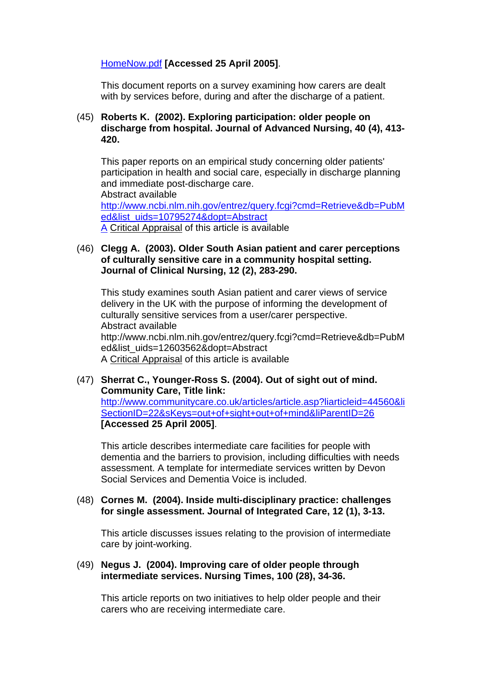### [HomeNow.pdf](http://www.carersuk.org/Policyandpractice/Research/YouCanTakeHimHomeNow.pdf) **[Accessed 25 April 2005]**.

This document reports on a survey examining how carers are dealt with by services before, during and after the discharge of a patient.

#### (45) **Roberts K. (2002). Exploring participation: older people on discharge from hospital. Journal of Advanced Nursing, 40 (4), 413- 420.**

This paper reports on an empirical study concerning older patients' participation in health and social care, especially in discharge planning and immediate post-discharge care. Abstract available [http://www.ncbi.nlm.nih.gov/entrez/query.fcgi?cmd=Retrieve&db=PubM](http://www.ncbi.nlm.nih.gov/entrez/query.fcgi?cmd=Retrieve&db=PubMed&list_uids=10795274&dopt=AbstractA) [ed&list\\_uids=10795274&dopt=Abstract](http://www.ncbi.nlm.nih.gov/entrez/query.fcgi?cmd=Retrieve&db=PubMed&list_uids=10795274&dopt=AbstractA)

[A](http://www.ncbi.nlm.nih.gov/entrez/query.fcgi?cmd=Retrieve&db=PubMed&list_uids=10795274&dopt=AbstractA) Critical Appraisal of this article is available

### (46) **Clegg A. (2003). Older South Asian patient and carer perceptions of culturally sensitive care in a community hospital setting. Journal of Clinical Nursing, 12 (2), 283-290.**

This study examines south Asian patient and carer views of service delivery in the UK with the purpose of informing the development of culturally sensitive services from a user/carer perspective. Abstract available http://www.ncbi.nlm.nih.gov/entrez/query.fcgi?cmd=Retrieve&db=PubM ed&list\_uids=12603562&dopt=Abstract A Critical Appraisal of this article is available

## (47) **Sherrat C., Younger-Ross S. (2004). Out of sight out of mind. Community Care, Title link:** [http://www.communitycare.co.uk/articles/article.asp?liarticleid=44560&li](http://www.communitycare.co.uk/articles/article.asp?liarticleid=44560&liSectionID=22&sKeys=out+of+sight+out+of+mind&liParentID=26) [SectionID=22&sKeys=out+of+sight+out+of+mind&liParentID=26](http://www.communitycare.co.uk/articles/article.asp?liarticleid=44560&liSectionID=22&sKeys=out+of+sight+out+of+mind&liParentID=26) **[Accessed 25 April 2005]**.

This article describes intermediate care facilities for people with dementia and the barriers to provision, including difficulties with needs assessment. A template for intermediate services written by Devon Social Services and Dementia Voice is included.

### (48) **Cornes M. (2004). Inside multi-disciplinary practice: challenges for single assessment. Journal of Integrated Care, 12 (1), 3-13.**

This article discusses issues relating to the provision of intermediate care by joint-working.

#### (49) **Negus J. (2004). Improving care of older people through intermediate services. Nursing Times, 100 (28), 34-36.**

This article reports on two initiatives to help older people and their carers who are receiving intermediate care.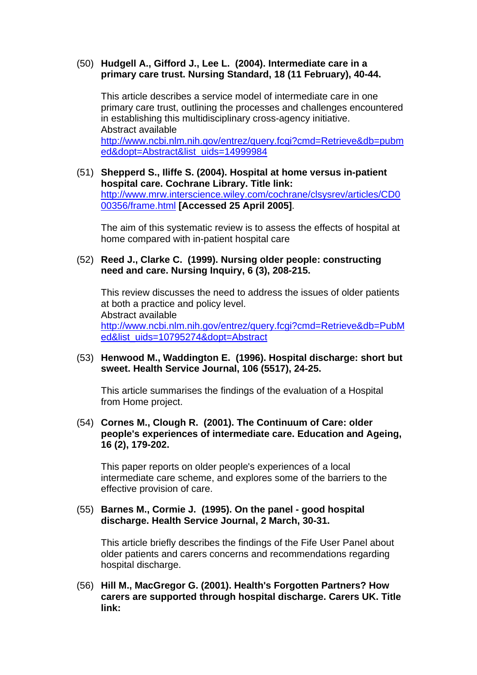#### (50) **Hudgell A., Gifford J., Lee L. (2004). Intermediate care in a primary care trust. Nursing Standard, 18 (11 February), 40-44.**

This article describes a service model of intermediate care in one primary care trust, outlining the processes and challenges encountered in establishing this multidisciplinary cross-agency initiative. Abstract available [http://www.ncbi.nlm.nih.gov/entrez/query.fcgi?cmd=Retrieve&db=pubm](http://www.ncbi.nlm.nih.gov/entrez/query.fcgi?cmd=Retrieve&db=pubmed&dopt=Abstract&list_uids=14999984) [ed&dopt=Abstract&list\\_uids=14999984](http://www.ncbi.nlm.nih.gov/entrez/query.fcgi?cmd=Retrieve&db=pubmed&dopt=Abstract&list_uids=14999984)

 (51) **Shepperd S., Iliffe S. (2004). Hospital at home versus in-patient hospital care. Cochrane Library. Title link:** [http://www.mrw.interscience.wiley.com/cochrane/clsysrev/articles/CD0](http://www.mrw.interscience.wiley.com/cochrane/clsysrev/articles/CD000356/frame.html) [00356/frame.html](http://www.mrw.interscience.wiley.com/cochrane/clsysrev/articles/CD000356/frame.html) **[Accessed 25 April 2005]**.

The aim of this systematic review is to assess the effects of hospital at home compared with in-patient hospital care

#### (52) **Reed J., Clarke C. (1999). Nursing older people: constructing need and care. Nursing Inquiry, 6 (3), 208-215.**

This review discusses the need to address the issues of older patients at both a practice and policy level. Abstract available [http://www.ncbi.nlm.nih.gov/entrez/query.fcgi?cmd=Retrieve&db=PubM](http://www.ncbi.nlm.nih.gov/entrez/query.fcgi?cmd=Retrieve&db=PubMed&list_uids=10795274&dopt=Abstract) [ed&list\\_uids=10795274&dopt=Abstract](http://www.ncbi.nlm.nih.gov/entrez/query.fcgi?cmd=Retrieve&db=PubMed&list_uids=10795274&dopt=Abstract)

#### (53) **Henwood M., Waddington E. (1996). Hospital discharge: short but sweet. Health Service Journal, 106 (5517), 24-25.**

This article summarises the findings of the evaluation of a Hospital from Home project.

 (54) **Cornes M., Clough R. (2001). The Continuum of Care: older people's experiences of intermediate care. Education and Ageing, 16 (2), 179-202.**

This paper reports on older people's experiences of a local intermediate care scheme, and explores some of the barriers to the effective provision of care.

#### (55) **Barnes M., Cormie J. (1995). On the panel - good hospital discharge. Health Service Journal, 2 March, 30-31.**

This article briefly describes the findings of the Fife User Panel about older patients and carers concerns and recommendations regarding hospital discharge.

 (56) **Hill M., MacGregor G. (2001). Health's Forgotten Partners? How carers are supported through hospital discharge. Carers UK. Title link:**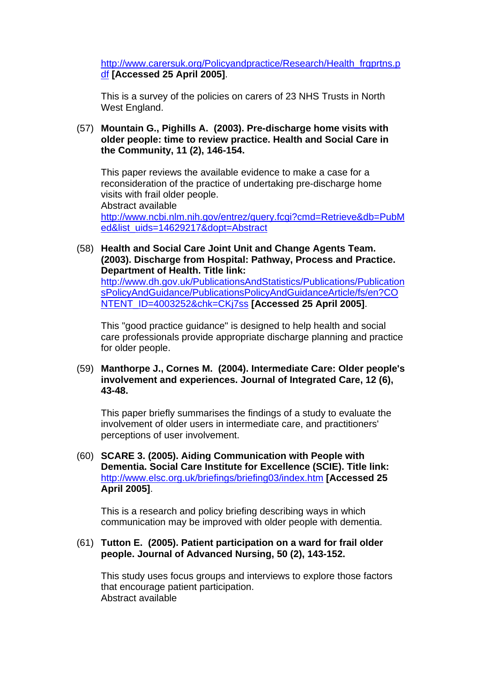[http://www.carersuk.org/Policyandpractice/Research/Health\\_frgprtns.p](http://www.carersuk.org/Policyandpractice/Research/Health_frgprtns.pdf) [df](http://www.carersuk.org/Policyandpractice/Research/Health_frgprtns.pdf) **[Accessed 25 April 2005]**.

This is a survey of the policies on carers of 23 NHS Trusts in North West England.

 (57) **Mountain G., Pighills A. (2003). Pre-discharge home visits with older people: time to review practice. Health and Social Care in the Community, 11 (2), 146-154.**

This paper reviews the available evidence to make a case for a reconsideration of the practice of undertaking pre-discharge home visits with frail older people. Abstract available

[http://www.ncbi.nlm.nih.gov/entrez/query.fcgi?cmd=Retrieve&db=PubM](http://www.ncbi.nlm.nih.gov/entrez/query.fcgi?cmd=Retrieve&db=PubMed&list_uids=14629217&dopt=Abstract) [ed&list\\_uids=14629217&dopt=Abstract](http://www.ncbi.nlm.nih.gov/entrez/query.fcgi?cmd=Retrieve&db=PubMed&list_uids=14629217&dopt=Abstract)

 (58) **Health and Social Care Joint Unit and Change Agents Team. (2003). Discharge from Hospital: Pathway, Process and Practice. Department of Health. Title link:**

[http://www.dh.gov.uk/PublicationsAndStatistics/Publications/Publication](http://www.dh.gov.uk/PublicationsAndStatistics/Publications/PublicationsPolicyAndGuidance/PublicationsPolicyAndGuidanceArticle/fs/en?CONTENT_ID=4003252&chk=CKj7ss) [sPolicyAndGuidance/PublicationsPolicyAndGuidanceArticle/fs/en?CO](http://www.dh.gov.uk/PublicationsAndStatistics/Publications/PublicationsPolicyAndGuidance/PublicationsPolicyAndGuidanceArticle/fs/en?CONTENT_ID=4003252&chk=CKj7ss) [NTENT\\_ID=4003252&chk=CKj7ss](http://www.dh.gov.uk/PublicationsAndStatistics/Publications/PublicationsPolicyAndGuidance/PublicationsPolicyAndGuidanceArticle/fs/en?CONTENT_ID=4003252&chk=CKj7ss) **[Accessed 25 April 2005]**.

This "good practice guidance" is designed to help health and social care professionals provide appropriate discharge planning and practice for older people.

 (59) **Manthorpe J., Cornes M. (2004). Intermediate Care: Older people's involvement and experiences. Journal of Integrated Care, 12 (6), 43-48.**

This paper briefly summarises the findings of a study to evaluate the involvement of older users in intermediate care, and practitioners' perceptions of user involvement.

 (60) **SCARE 3. (2005). Aiding Communication with People with Dementia. Social Care Institute for Excellence (SCIE). Title link:** <http://www.elsc.org.uk/briefings/briefing03/index.htm> **[Accessed 25 April 2005]**.

This is a research and policy briefing describing ways in which communication may be improved with older people with dementia.

#### (61) **Tutton E. (2005). Patient participation on a ward for frail older people. Journal of Advanced Nursing, 50 (2), 143-152.**

This study uses focus groups and interviews to explore those factors that encourage patient participation. Abstract available